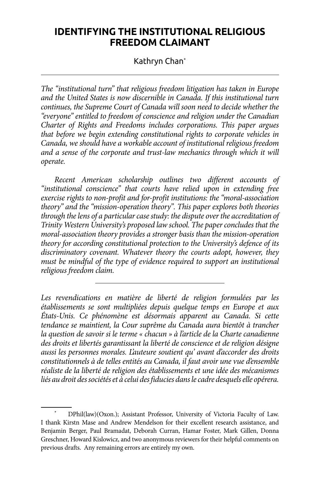# **IDENTIFYING THE INSTITUTIONAL RELIGIOUS FREEDOM CLAIMANT**

#### Kathryn Chan\*

*The "institutional turn" that religious freedom litigation has taken in Europe and the United States is now discernible in Canada. If this institutional turn continues, the Supreme Court of Canada will soon need to decide whether the "everyone" entitled to freedom of conscience and religion under the Canadian Charter of Rights and Freedoms includes corporations. This paper argues that before we begin extending constitutional rights to corporate vehicles in Canada, we should have a workable account of institutional religious freedom and a sense of the corporate and trust-law mechanics through which it will operate.*

*Recent American scholarship outlines two different accounts of "institutional conscience" that courts have relied upon in extending free exercise rights to non-profit and for-profit institutions: the "moral-association theory" and the "mission-operation theory". This paper explores both theories through the lens of a particular case study: the dispute over the accreditation of Trinity Western University's proposed law school. The paper concludes that the moral-association theory provides a stronger basis than the mission-operation theory for according constitutional protection to the University's defence of its discriminatory covenant. Whatever theory the courts adopt, however, they must be mindful of the type of evidence required to support an institutional religious freedom claim.*

*Les revendications en matière de liberté de religion formulées par les établissements se sont multipliées depuis quelque temps en Europe et aux États-Unis. Ce phénomène est désormais apparent au Canada. Si cette tendance se maintient, la Cour suprême du Canada aura bientôt à trancher la question de savoir si le terme « chacun » à l'article de la Charte canadienne des droits et libertés garantissant la liberté de conscience et de religion désigne aussi les personnes morales. L'auteure soutient qu' avant d'accorder des droits constitutionnels à de telles entités au Canada, il faut avoir une vue d'ensemble réaliste de la liberté de religion des établissements et une idée des mécanismes liés au droit des sociétés et à celui des fiducies dans le cadre desquels elle opérera.*

<sup>\*</sup> DPhil(law)(Oxon.); Assistant Professor, University of Victoria Faculty of Law. I thank Kirstn Mase and Andrew Mendelson for their excellent research assistance, and Benjamin Berger, Paul Bramadat, Deborah Curran, Hamar Foster, Mark Gillen, Donna Greschner, Howard Kislowicz, and two anonymous reviewers for their helpful comments on previous drafts. Any remaining errors are entirely my own.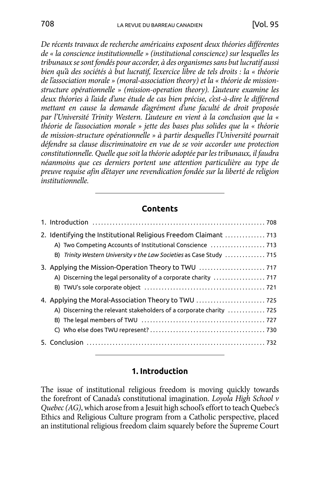*De récents travaux de recherche américains exposent deux théories différentes de « la conscience institutionnelle » (institutional conscience) sur lesquelles les tribunaux se sont fondés pour accorder, à des organismes sans but lucratif aussi bien qu'à des sociétés à but lucratif, l'exercice libre de tels droits : la « théorie de l'association morale » (moral-association theory) et la « théorie de missionstructure opérationnelle » (mission-operation theory). L'auteure examine les deux théories à l'aide d'une étude de cas bien précise, c'est-à-dire le différend mettant en cause la demande d'agrément d'une faculté de droit proposée par l'Université Trinity Western. L'auteure en vient à la conclusion que la « théorie de l'association morale » jette des bases plus solides que la « théorie de mission-structure opérationnelle » à partir desquelles l'Université pourrait défendre sa clause discriminatoire en vue de se voir accorder une protection constitutionnelle. Quelle que soit la théorie adoptée par les tribunaux, il faudra néanmoins que ces derniers portent une attention particulière au type de preuve requise afin d'étayer une revendication fondée sur la liberté de religion institutionnelle.*

#### **Contents**

| 2. Identifying the Institutional Religious Freedom Claimant  713<br>B) Trinity Western University v the Law Societies as Case Study  715 |
|------------------------------------------------------------------------------------------------------------------------------------------|
| 3. Applying the Mission-Operation Theory to TWU                                                                                          |
| A) Discerning the relevant stakeholders of a corporate charity  725                                                                      |
|                                                                                                                                          |

#### **1. Introduction**

The issue of institutional religious freedom is moving quickly towards the forefront of Canada's constitutional imagination. *Loyola High School v Quebec (AG)*, which arose from a Jesuit high school's effort to teach Quebec's Ethics and Religious Culture program from a Catholic perspective, placed an institutional religious freedom claim squarely before the Supreme Court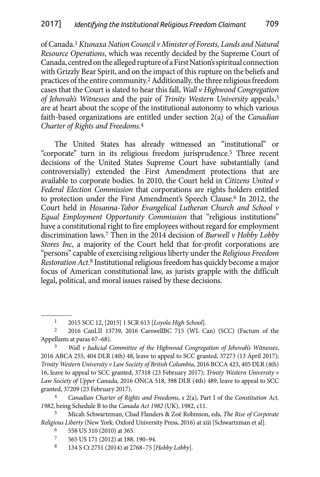of Canada.1 *Ktunaxa Nation Council v Minister of Forests, Lands and Natural Resource Operations*, which was recently decided by the Supreme Court of Canada, centred on the alleged rupture of a First Nation's spiritual connection with Grizzly Bear Spirit, and on the impact of this rupture on the beliefs and practices of the entire community.2 Additionally, the three religious freedom cases that the Court is slated to hear this fall, *Wall v Highwood Congregation of Jehovah's Witnesses* and the pair of *Trinity Western University* appeals,3 are at heart about the scope of the institutional autonomy to which various faith-based organizations are entitled under section 2(a) of the *Canadian Charter of Rights and Freedoms*. 4

The United States has already witnessed an "institutional" or "corporate" turn in its religious freedom jurisprudence.5 Three recent decisions of the United States Supreme Court have substantially (and controversially) extended the First Amendment protections that are available to corporate bodies. In 2010, the Court held in *Citizens United v Federal Election Commission* that corporations are rights holders entitled to protection under the First Amendment's Speech Clause.6 In 2012, the Court held in *Hosanna-Tabor Evangelical Lutheran Church and School v Equal Employment Opportunity Commission* that "religious institutions" have a constitutional right to fire employees without regard for employment discrimination laws.7 Then in the 2014 decision of *Burwell v Hobby Lobby Stores Inc*, a majority of the Court held that for-profit corporations are "persons" capable of exercising religious liberty under the *Religious Freedom Restoration Act*. 8 Institutional religious freedom has quickly become a major focus of American constitutional law, as jurists grapple with the difficult legal, political, and moral issues raised by these decisions.

<sup>1</sup> 2015 SCC 12, [2015] 1 SCR 613 [*Loyola High School*].

<sup>2</sup> 2016 CanLII 13739, 2016 CarswellBC 715 (WL Can) (SCC) (Factum of the Appellants at paras 67–68).

<sup>3</sup> *Wall v Judicial Committee of the Highwood Congregation of Jehovah's Witnesses*, 2016 ABCA 255, 404 DLR (4th) 48, leave to appeal to SCC granted, 37273 (13 April 2017); *Trinity Western University v Law Society of British Columbia*, 2016 BCCA 423, 405 DLR (4th) 16, leave to appeal to SCC granted, 37318 (23 February 2017); *Trinity Western University v Law Society of Upper Canada*, 2016 ONCA 518, 398 DLR (4th) 489, leave to appeal to SCC granted, 37209 (23 February 2017).

<sup>4</sup> *Canadian Charter of Rights and Freedoms*, s 2(a), Part I of the *Constitution Act, 1982*, being Schedule B to the *Canada Act 1982* (UK), 1982, c11.

<sup>5</sup> Micah Schwartzman, Chad Flanders & Zoë Robinson, eds, *The Rise of Corporate Religious Liberty* (New York: Oxford University Press, 2016) at xiii [Schwartzman et al].

<sup>6 558</sup> US 310 (2010) at 365.<br>  $\frac{7}{2}$  565 US 171 (2012) at 188

<sup>7</sup> 565 US 171 (2012) at 188, 190–94.

<sup>8</sup> 134 S Ct 2751 (2014) at 2768–75 [*Hobby Lobby*].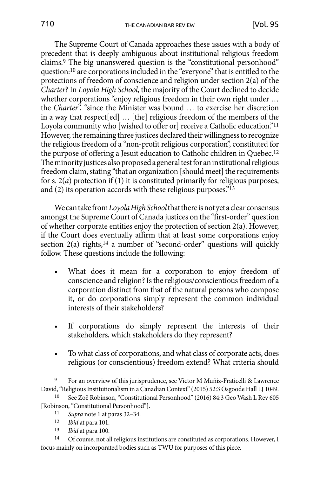The Supreme Court of Canada approaches these issues with a body of precedent that is deeply ambiguous about institutional religious freedom claims.9 The big unanswered question is the "constitutional personhood" question:10 are corporations included in the "everyone" that is entitled to the protections of freedom of conscience and religion under section 2(a) of the *Charter*? In *Loyola High School*, the majority of the Court declined to decide whether corporations "enjoy religious freedom in their own right under … the *Charter*", "since the Minister was bound … to exercise her discretion in a way that respect[ed] … [the] religious freedom of the members of the Loyola community who [wished to offer or] receive a Catholic education."11 However, the remaining three justices declared their willingness to recognize the religious freedom of a "non-profit religious corporation", constituted for the purpose of offering a Jesuit education to Catholic children in Quebec.12 The minority justices also proposed a general test for an institutional religious freedom claim, stating "that an organization [should meet] the requirements for s. 2(*a*) protection if (1) it is constituted primarily for religious purposes, and (2) its operation accords with these religious purposes."13

We can take from *Loyola High School* that there is not yet a clear consensus amongst the Supreme Court of Canada justices on the "first-order" question of whether corporate entities enjoy the protection of section 2(a). However, if the Court does eventually affirm that at least some corporations enjoy section 2(a) rights,<sup>14</sup> a number of "second-order" questions will quickly follow. These questions include the following:

- What does it mean for a corporation to enjoy freedom of conscience and religion? Is the religious/conscientious freedom of a corporation distinct from that of the natural persons who compose it, or do corporations simply represent the common individual interests of their stakeholders?
- If corporations do simply represent the interests of their stakeholders, which stakeholders do they represent?
- To what class of corporations, and what class of corporate acts, does religious (or conscientious) freedom extend? What criteria should

13 *Ibid* at para 100.

<sup>&</sup>lt;sup>9</sup> For an overview of this jurisprudence, see Victor M Muñiz-Fraticelli & Lawrence David, "Religious Institutionalism in a Canadian Context" (2015) 52:3 Osgoode Hall LJ 1049.

<sup>10</sup> See Zoë Robinson, "Constitutional Personhood" (2016) 84:3 Geo Wash L Rev 605 [Robinson, "Constitutional Personhood"].

<sup>&</sup>lt;sup>11</sup> *Supra* note 1 at paras 32–34.<br><sup>12</sup> *Ibid* at para 101

<sup>12</sup> *Ibid* at para 101.

<sup>14</sup> Of course, not all religious institutions are constituted as corporations. However, I focus mainly on incorporated bodies such as TWU for purposes of this piece.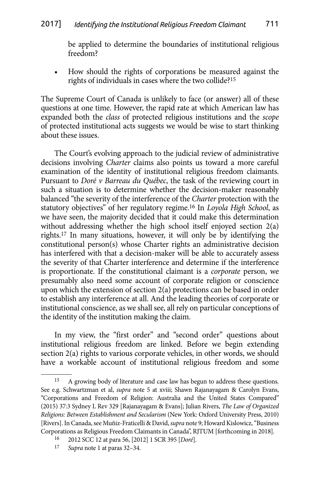be applied to determine the boundaries of institutional religious freedom?

How should the rights of corporations be measured against the rights of individuals in cases where the two collide?15

The Supreme Court of Canada is unlikely to face (or answer) all of these questions at one time. However, the rapid rate at which American law has expanded both the *class* of protected religious institutions and the *scope* of protected institutional acts suggests we would be wise to start thinking about these issues.

The Court's evolving approach to the judicial review of administrative decisions involving *Charter* claims also points us toward a more careful examination of the identity of institutional religious freedom claimants. Pursuant to *Doré v Barreau du Québec*, the task of the reviewing court in such a situation is to determine whether the decision-maker reasonably balanced "the severity of the interference of the *Charter* protection with the statutory objectives" of her regulatory regime.16 In *Loyola High School*, as we have seen, the majority decided that it could make this determination without addressing whether the high school itself enjoyed section 2(a) rights.17 In many situations, however, it will only be by identifying the constitutional person(s) whose Charter rights an administrative decision has interfered with that a decision-maker will be able to accurately assess the severity of that Charter interference and determine if the interference is proportionate. If the constitutional claimant is a *corporate* person, we presumably also need some account of corporate religion or conscience upon which the extension of section 2(a) protections can be based in order to establish any interference at all. And the leading theories of corporate or institutional conscience, as we shall see, all rely on particular conceptions of the identity of the institution making the claim.

In my view, the "first order" and "second order" questions about institutional religious freedom are linked. Before we begin extending section 2(a) rights to various corporate vehicles, in other words, we should have a workable account of institutional religious freedom and some

<sup>15</sup> A growing body of literature and case law has begun to address these questions. See e.g. Schwartzman et al, *supra* note 5 at xviii; Shawn Rajanayagam & Carolyn Evans, "Corporations and Freedom of Religion: Australia and the United States Compared" (2015) 37:3 Sydney L Rev 329 [Rajanayagam & Evans]; Julian Rivers, *The Law of Organized Religions: Between Establishment and Secularism* (New York: Oxford University Press, 2010) [Rivers]. In Canada, see Muñiz-Fraticelli & David, *supra* note 9; Howard Kislowicz, "Business Corporations as Religious Freedom Claimants in Canada", RJTUM [forthcoming in 2018].

<sup>16</sup> 2012 SCC 12 at para 56, [2012] 1 SCR 395 [*Doré*].

<sup>17</sup> *Supra* note 1 at paras 32–34.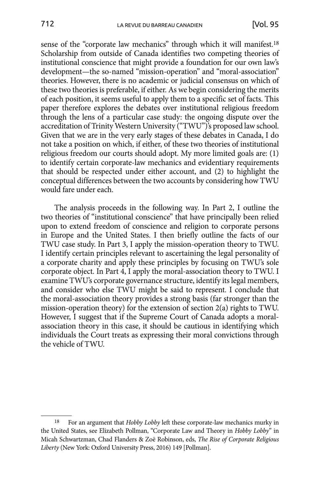sense of the "corporate law mechanics" through which it will manifest.<sup>18</sup> Scholarship from outside of Canada identifies two competing theories of institutional conscience that might provide a foundation for our own law's development—the so-named "mission-operation" and "moral-association" theories. However, there is no academic or judicial consensus on which of these two theories is preferable, if either. As we begin considering the merits of each position, it seems useful to apply them to a specific set of facts. This paper therefore explores the debates over institutional religious freedom through the lens of a particular case study: the ongoing dispute over the accreditation of Trinity Western University ("TWU")'s proposed law school. Given that we are in the very early stages of these debates in Canada, I do not take a position on which, if either, of these two theories of institutional religious freedom our courts should adopt. My more limited goals are: (1) to identify certain corporate-law mechanics and evidentiary requirements that should be respected under either account, and (2) to highlight the conceptual differences between the two accounts by considering how TWU would fare under each.

The analysis proceeds in the following way. In Part 2, I outline the two theories of "institutional conscience" that have principally been relied upon to extend freedom of conscience and religion to corporate persons in Europe and the United States. I then briefly outline the facts of our TWU case study. In Part 3, I apply the mission-operation theory to TWU. I identify certain principles relevant to ascertaining the legal personality of a corporate charity and apply these principles by focusing on TWU's sole corporate object. In Part 4, I apply the moral-association theory to TWU. I examine TWU's corporate governance structure, identify its legal members, and consider who else TWU might be said to represent. I conclude that the moral-association theory provides a strong basis (far stronger than the mission-operation theory) for the extension of section 2(a) rights to TWU. However, I suggest that if the Supreme Court of Canada adopts a moralassociation theory in this case, it should be cautious in identifying which individuals the Court treats as expressing their moral convictions through the vehicle of TWU.

<sup>18</sup> For an argument that *Hobby Lobby* left these corporate-law mechanics murky in the United States, see Elizabeth Pollman, "Corporate Law and Theory in *Hobby Lobby*" in Micah Schwartzman, Chad Flanders & Zoë Robinson, eds, *The Rise of Corporate Religious Liberty* (New York: Oxford University Press, 2016) 149 [Pollman].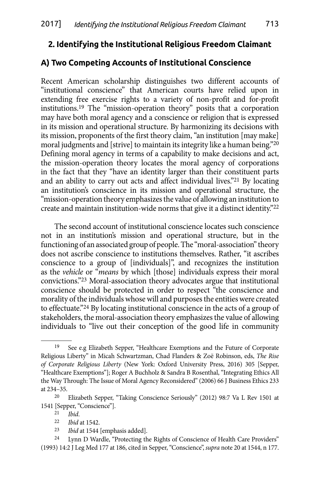## <span id="page-6-0"></span>**2. Identifying the Institutional Religious Freedom Claimant**

### **A) Two Competing Accounts of Institutional Conscience**

Recent American scholarship distinguishes two different accounts of "institutional conscience" that American courts have relied upon in extending free exercise rights to a variety of non-profit and for-profit institutions.19 The "mission-operation theory" posits that a corporation may have both moral agency and a conscience or religion that is expressed in its mission and operational structure. By harmonizing its decisions with its mission, proponents of the first theory claim, "an institution [may make] moral judgments and [strive] to maintain its integrity like a human being."20 Defining moral agency in terms of a capability to make decisions and act, the mission-operation theory locates the moral agency of corporations in the fact that they "have an identity larger than their constituent parts and an ability to carry out acts and affect individual lives."21 By locating an institution's conscience in its mission and operational structure, the "mission-operation theory emphasizes the value of allowing an institution to create and maintain institution-wide norms that give it a distinct identity."22

The second account of institutional conscience locates such conscience not in an institution's mission and operational structure, but in the functioning of an associated group of people. The "moral-association" theory does not ascribe conscience to institutions themselves. Rather, "it ascribes conscience to a group of [individuals]", and recognizes the institution as the *vehicle* or "*means* by which [those] individuals express their moral convictions."23 Moral-association theory advocates argue that institutional conscience should be protected in order to respect "the conscience and morality of the individuals whose will and purposes the entities were created to effectuate."24 By locating institutional conscience in the acts of a group of stakeholders, the moral-association theory emphasizes the value of allowing individuals to "live out their conception of the good life in community

23 *Ibid* at 1544 [emphasis added].

<sup>19</sup> See e.g Elizabeth Sepper, "Healthcare Exemptions and the Future of Corporate Religious Liberty" in Micah Schwartzman, Chad Flanders & Zoë Robinson, eds, *The Rise of Corporate Religious Liberty* (New York: Oxford University Press, 2016) 305 [Sepper, "Healthcare Exemptions"]; Roger A Buchholz & Sandra B Rosenthal, "Integrating Ethics All the Way Through: The Issue of Moral Agency Reconsidered" (2006) 66 J Business Ethics 233 at 234–35.

<sup>20</sup> Elizabeth Sepper, "Taking Conscience Seriously" (2012) 98:7 Va L Rev 1501 at 1541 [Sepper, "Conscience"].

<sup>21</sup> *Ibid*.

*Ibid* at 1542.

<sup>24</sup> Lynn D Wardle, "Protecting the Rights of Conscience of Health Care Providers" (1993) 14:2 J Leg Med 177 at 186, cited in Sepper, "Conscience", *supra* note 20 at 1544, n 177.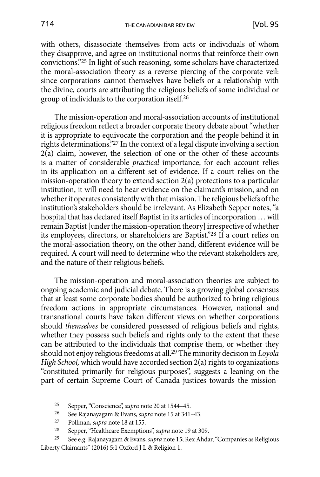with others, disassociate themselves from acts or individuals of whom they disapprove, and agree on institutional norms that reinforce their own convictions."25 In light of such reasoning, some scholars have characterized the moral-association theory as a reverse piercing of the corporate veil: since corporations cannot themselves have beliefs or a relationship with the divine, courts are attributing the religious beliefs of some individual or group of individuals to the corporation itself.26

The mission-operation and moral-association accounts of institutional religious freedom reflect a broader corporate theory debate about "whether it is appropriate to equivocate the corporation and the people behind it in rights determinations."27 In the context of a legal dispute involving a section 2(a) claim, however, the selection of one or the other of these accounts is a matter of considerable *practical* importance, for each account relies in its application on a different set of evidence. If a court relies on the mission-operation theory to extend section 2(a) protections to a particular institution, it will need to hear evidence on the claimant's mission, and on whether it operates consistently with that mission. The religious beliefs of the institution's stakeholders should be irrelevant. As Elizabeth Sepper notes, "a hospital that has declared itself Baptist in its articles of incorporation … will remain Baptist [under the mission-operation theory] irrespective of whether its employees, directors, or shareholders are Baptist."28 If a court relies on the moral-association theory, on the other hand, different evidence will be required. A court will need to determine who the relevant stakeholders are, and the nature of their religious beliefs.

The mission-operation and moral-association theories are subject to ongoing academic and judicial debate. There is a growing global consensus that at least some corporate bodies should be authorized to bring religious freedom actions in appropriate circumstances. However, national and transnational courts have taken different views on whether corporations should *themselves* be considered possessed of religious beliefs and rights, whether they possess such beliefs and rights only to the extent that these can be attributed to the individuals that comprise them, or whether they should not enjoy religious freedoms at all.29 The minority decision in *Loyola High School,* which would have accorded section 2(a) rights to organizations "constituted primarily for religious purposes", suggests a leaning on the part of certain Supreme Court of Canada justices towards the mission-

<sup>25</sup> Sepper, "Conscience", *supra* note 20 at 1544–45.

<sup>26</sup> See Rajanayagam & Evans, *supra* note 15 at 341–43.

<sup>27</sup> Pollman, *supra* note 18 at 155.

<sup>28</sup> Sepper, "Healthcare Exemptions", *supra* note 19 at 309.

<sup>29</sup> See e.g. Rajanayagam & Evans, *supra* note 15; Rex Ahdar, "Companies as Religious Liberty Claimants" (2016) 5:1 Oxford J L & Religion 1.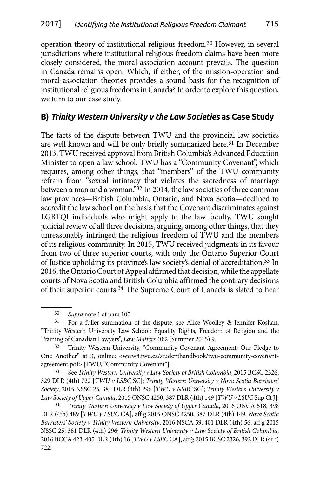<span id="page-8-0"></span>operation theory of institutional religious freedom.30 However, in several jurisdictions where institutional religious freedom claims have been more closely considered, the moral-association account prevails. The question in Canada remains open. Which, if either, of the mission-operation and moral-association theories provides a sound basis for the recognition of institutional religious freedoms in Canada? In order to explore this question, we turn to our case study.

### **B)** *Trinity Western University v the Law Societies* **as Case Study**

The facts of the dispute between TWU and the provincial law societies are well known and will be only briefly summarized here.<sup>31</sup> In December 2013, TWU received approval from British Columbia's Advanced Education Minister to open a law school. TWU has a "Community Covenant", which requires, among other things, that "members" of the TWU community refrain from "sexual intimacy that violates the sacredness of marriage between a man and a woman."32 In 2014, the law societies of three common law provinces—British Columbia, Ontario, and Nova Scotia—declined to accredit the law school on the basis that the Covenant discriminates against LGBTQI individuals who might apply to the law faculty. TWU sought judicial review of all three decisions, arguing, among other things, that they unreasonably infringed the religious freedom of TWU and the members of its religious community. In 2015, TWU received judgments in its favour from two of three superior courts, with only the Ontario Superior Court of Justice upholding its province's law society's denial of accreditation.33 In 2016, the Ontario Court of Appeal affirmed that decision, while the appellate courts of Nova Scotia and British Columbia affirmed the contrary decisions of their superior courts.34 The Supreme Court of Canada is slated to hear

30 *Supra* note 1 at para 100.

31 For a fuller summation of the dispute, see Alice Woolley & Jennifer Koshan, "Trinity Western University Law School: Equality Rights, Freedom of Religion and the Training of Canadian Lawyers", *Law Matters* 40:2 (Summer 2015) 9.

<sup>32</sup> Trinity Western University, "Community Covenant Agreement: Our Pledge to One Another" at 3, online: <www8.twu.ca/studenthandbook/twu-community-covenantagreement.pdf> [TWU, "Community Covenant"].

33 See *Trinity Western University v Law Society of British Columbia*, 2015 BCSC 2326, 329 DLR (4th) 722 [*TWU v LSBC* SC]; *Trinity Western University v Nova Scotia Barristers' Society*, 2015 NSSC 25, 381 DLR (4th) 296 [*TWU v NSBC* SC]; *Trinity Western University v Law Society of Upper Canada*, 2015 ONSC 4250, 387 DLR (4th) 149 [*TWU v LSUC* Sup Ct J].

34 *Trinity Western University v Law Society of Upper Canada*, 2016 ONCA 518, 398 DLR (4th) 489 [*TWU v LSUC* CA], aff'g 2015 ONSC 4250, 387 DLR (4th) 149; *Nova Scotia Barristers' Society v Trinity Western University*, 2016 NSCA 59, 401 DLR (4th) 56, aff'g 2015 NSSC 25, 381 DLR (4th) 296; *Trinity Western University v Law Society of British Columbia*, 2016 BCCA 423, 405 DLR (4th) 16 [*TWU v LSBC* CA], aff'g 2015 BCSC 2326, 392 DLR (4th) 722.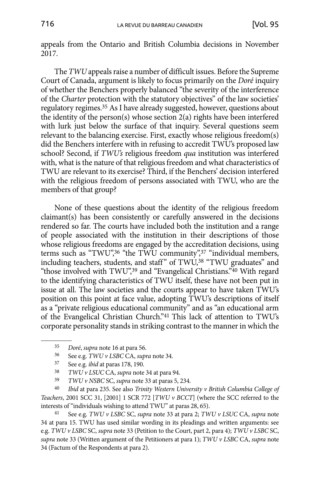appeals from the Ontario and British Columbia decisions in November 2017.

The *TWU* appeals raise a number of difficult issues. Before the Supreme Court of Canada, argument is likely to focus primarily on the *Doré* inquiry of whether the Benchers properly balanced "the severity of the interference of the *Charter* protection with the statutory objectives" of the law societies' regulatory regimes.35 As I have already suggested, however, questions about the identity of the person(s) whose section 2(a) rights have been interfered with lurk just below the surface of that inquiry. Several questions seem relevant to the balancing exercise. First, exactly whose religious freedom(s) did the Benchers interfere with in refusing to accredit TWU's proposed law school? Second, if *TWU's* religious freedom *qua* institution was interfered with, what is the nature of that religious freedom and what characteristics of TWU are relevant to its exercise? Third, if the Benchers' decision interfered with the religious freedom of persons associated with TWU, who are the members of that group?

None of these questions about the identity of the religious freedom claimant(s) has been consistently or carefully answered in the decisions rendered so far. The courts have included both the institution and a range of people associated with the institution in their descriptions of those whose religious freedoms are engaged by the accreditation decisions, using terms such as "TWU",<sup>36</sup> "the TWU community",<sup>37</sup> "individual members, including teachers, students, and staff" of TWU,<sup>38</sup> "TWU graduates" and "those involved with TWU",<sup>39</sup> and "Evangelical Christians."<sup>40</sup> With regard to the identifying characteristics of TWU itself, these have not been put in issue at all. The law societies and the courts appear to have taken TWU's position on this point at face value, adopting TWU's descriptions of itself as a "private religious educational community" and as "an educational arm of the Evangelical Christian Church."41 This lack of attention to TWU's corporate personality stands in striking contrast to the manner in which the

40 *Ibid* at para 235. See also *Trinity Western University v British Columbia College of Teachers*, 2001 SCC 31, [2001] 1 SCR 772 [*TWU v BCCT*] (where the SCC referred to the interests of "individuals wishing to attend TWU" at paras 28, 65).

41 See e.g. *TWU v LSBC* SC, *supra* note 33 at para 2; *TWU v LSUC* CA, *supra* note 34 at para 15. TWU has used similar wording in its pleadings and written arguments: see e.g. *TWU v LSBC* SC, *supra* note 33 (Petition to the Court, part 2, para 4); *TWU v LSBC* SC, *supra* note 33 (Written argument of the Petitioners at para 1); *TWU v LSBC* CA, *supra* note 34 (Factum of the Respondents at para 2).

<sup>35</sup> *Doré*, *supra* note 16 at para 56.

<sup>36</sup> See e.g. *TWU v LSBC* CA, *supra* note 34.

<sup>37</sup> See e.g. *ibid* at paras 178, 190.

<sup>38</sup> *TWU v LSUC* CA, *supra* note 34 at para 94.

<sup>39</sup> *TWU v NSBC* SC, *supra* note 33 at paras 5, 234.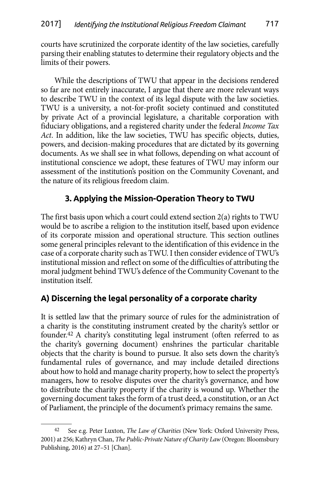<span id="page-10-0"></span>courts have scrutinized the corporate identity of the law societies, carefully parsing their enabling statutes to determine their regulatory objects and the limits of their powers.

While the descriptions of TWU that appear in the decisions rendered so far are not entirely inaccurate, I argue that there are more relevant ways to describe TWU in the context of its legal dispute with the law societies. TWU is a university, a not-for-profit society continued and constituted by private Act of a provincial legislature, a charitable corporation with fiduciary obligations, and a registered charity under the federal *Income Tax Act*. In addition, like the law societies, TWU has specific objects, duties, powers, and decision-making procedures that are dictated by its governing documents. As we shall see in what follows, depending on what account of institutional conscience we adopt, these features of TWU may inform our assessment of the institution's position on the Community Covenant, and the nature of its religious freedom claim.

# **3. Applying the Mission-Operation Theory to TWU**

The first basis upon which a court could extend section 2(a) rights to TWU would be to ascribe a religion to the institution itself, based upon evidence of its corporate mission and operational structure. This section outlines some general principles relevant to the identification of this evidence in the case of a corporate charity such as TWU. I then consider evidence of TWU's institutional mission and reflect on some of the difficulties of attributing the moral judgment behind TWU's defence of the Community Covenant to the institution itself.

# **A) Discerning the legal personality of a corporate charity**

It is settled law that the primary source of rules for the administration of a charity is the constituting instrument created by the charity's settlor or founder.42 A charity's constituting legal instrument (often referred to as the charity's governing document) enshrines the particular charitable objects that the charity is bound to pursue. It also sets down the charity's fundamental rules of governance, and may include detailed directions about how to hold and manage charity property, how to select the property's managers, how to resolve disputes over the charity's governance, and how to distribute the charity property if the charity is wound up. Whether the governing document takes the form of a trust deed, a constitution, or an Act of Parliament, the principle of the document's primacy remains the same.

See e.g. Peter Luxton, *The Law of Charities* (New York: Oxford University Press, 2001) at 256; Kathryn Chan, *The Public-Private Nature of Charity Law* (Oregon: Bloomsbury Publishing, 2016) at 27–51 [Chan].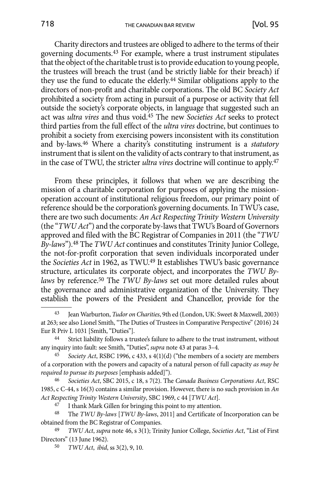Charity directors and trustees are obliged to adhere to the terms of their governing documents.43 For example, where a trust instrument stipulates that the object of the charitable trust is to provide education to young people, the trustees will breach the trust (and be strictly liable for their breach) if they use the fund to educate the elderly.44 Similar obligations apply to the directors of non-profit and charitable corporations. The old BC *Society Act*  prohibited a society from acting in pursuit of a purpose or activity that fell outside the society's corporate objects, in language that suggested such an act was *ultra vires* and thus void.45 The new *Societies Act* seeks to protect third parties from the full effect of the *ultra vires* doctrine, but continues to prohibit a society from exercising powers inconsistent with its constitution and by-laws.46 Where a charity's constituting instrument is a *statutory* instrument that is silent on the validity of acts contrary to that instrument, as in the case of TWU, the stricter *ultra vires* doctrine will continue to apply.47

From these principles, it follows that when we are describing the mission of a charitable corporation for purposes of applying the missionoperation account of institutional religious freedom, our primary point of reference should be the corporation's governing documents. In TWU's case, there are two such documents: *An Act Respecting Trinity Western University* (the "*TWU Act*") and the corporate by-laws that TWU's Board of Governors approved and filed with the BC Registrar of Companies in 2011 (the "*TWU By-laws*").48 The *TWU Act* continues and constitutes Trinity Junior College, the not-for-profit corporation that seven individuals incorporated under the *Societies Act* in 1962, as TWU.49 It establishes TWU's basic governance structure, articulates its corporate object, and incorporates the *TWU Bylaws* by reference.50 The *TWU By-laws* set out more detailed rules about the governance and administrative organization of the University. They establish the powers of the President and Chancellor, provide for the

<sup>43</sup> Jean Warburton, *Tudor on Charities*, 9th ed (London, UK: Sweet & Maxwell, 2003) at 263; see also Lionel Smith, "The Duties of Trustees in Comparative Perspective" (2016) 24 Eur R Priv L 1031 [Smith, "Duties"]. 44 Strict liability follows a trustee's failure to adhere to the trust instrument, without

any inquiry into fault: see Smith, "Duties", *supra* note 43 at paras 3–4.

Society Act, RSBC 1996, c 433, s 4(1)(d) ("the members of a society are members of a corporation with the powers and capacity of a natural person of full capacity *as may be required to pursue its purposes* [emphasis added]").

<sup>46</sup> *Societies Act*, SBC 2015, c 18, s 7(2). The *Canada Business Corporations Act*, RSC 1985, c C-44, s 16(3) contains a similar provision. However, there is no such provision in *An Act Respecting Trinity Western University*, SBC 1969, c 44 [*TWU Act*].

<sup>47</sup> I thank Mark Gillen for bringing this point to my attention.

<sup>48</sup> The *TWU By-laws* [*TWU By-laws*, 2011] and Certificate of Incorporation can be obtained from the BC Registrar of Companies.

<sup>49</sup> *TWU Act*, *supra* note 46, s 3(1); Trinity Junior College, *Societies Act*, "List of First Directors" (13 June 1962).

<sup>50</sup> *TWU Act*, *ibid*, ss 3(2), 9, 10.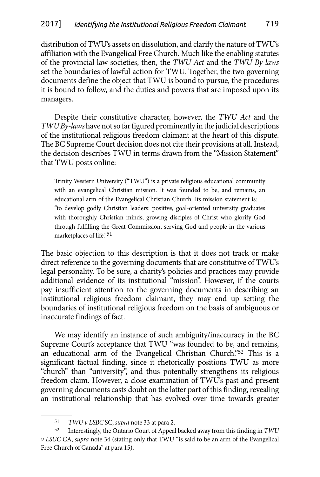distribution of TWU's assets on dissolution, and clarify the nature of TWU's affiliation with the Evangelical Free Church. Much like the enabling statutes of the provincial law societies, then, the *TWU Act* and the *TWU By-laws* set the boundaries of lawful action for TWU. Together, the two governing documents define the object that TWU is bound to pursue, the procedures it is bound to follow, and the duties and powers that are imposed upon its managers.

Despite their constitutive character, however, the *TWU Act* and the *TWU By-laws* have not so far figured prominently in the judicial descriptions of the institutional religious freedom claimant at the heart of this dispute. The BC Supreme Court decision does not cite their provisions at all. Instead, the decision describes TWU in terms drawn from the "Mission Statement" that TWU posts online:

Trinity Western University ("TWU") is a private religious educational community with an evangelical Christian mission. It was founded to be, and remains, an educational arm of the Evangelical Christian Church. Its mission statement is: … "to develop godly Christian leaders: positive, goal-oriented university graduates with thoroughly Christian minds; growing disciples of Christ who glorify God through fulfilling the Great Commission, serving God and people in the various marketplaces of life."51

The basic objection to this description is that it does not track or make direct reference to the governing documents that are constitutive of TWU's legal personality. To be sure, a charity's policies and practices may provide additional evidence of its institutional "mission". However, if the courts pay insufficient attention to the governing documents in describing an institutional religious freedom claimant, they may end up setting the boundaries of institutional religious freedom on the basis of ambiguous or inaccurate findings of fact.

We may identify an instance of such ambiguity/inaccuracy in the BC Supreme Court's acceptance that TWU "was founded to be, and remains, an educational arm of the Evangelical Christian Church."52 This is a significant factual finding, since it rhetorically positions TWU as more "church" than "university", and thus potentially strengthens its religious freedom claim. However, a close examination of TWU's past and present governing documents casts doubt on the latter part of this finding, revealing an institutional relationship that has evolved over time towards greater

<sup>51</sup> *TWU v LSBC* SC, *supra* note 33 at para 2.

<sup>52</sup> Interestingly, the Ontario Court of Appeal backed away from this finding in *TWU v LSUC* CA, *supra* note 34 (stating only that TWU "is said to be an arm of the Evangelical Free Church of Canada" at para 15).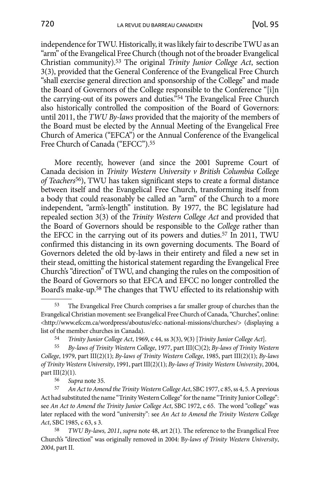independence for TWU. Historically, it was likely fair to describe TWU as an "arm" of the Evangelical Free Church (though not of the broader Evangelical Christian community).53 The original *Trinity Junior College Act*, section 3(3), provided that the General Conference of the Evangelical Free Church "shall exercise general direction and sponsorship of the College" and made the Board of Governors of the College responsible to the Conference "[i]n the carrying-out of its powers and duties."54 The Evangelical Free Church also historically controlled the composition of the Board of Governors: until 2011, the *TWU By-laws* provided that the majority of the members of the Board must be elected by the Annual Meeting of the Evangelical Free Church of America ("EFCA") or the Annual Conference of the Evangelical Free Church of Canada ("EFCC").55

More recently, however (and since the 2001 Supreme Court of Canada decision in *Trinity Western University v British Columbia College of Teachers*56), TWU has taken significant steps to create a formal distance between itself and the Evangelical Free Church, transforming itself from a body that could reasonably be called an "arm" of the Church to a more independent, "arm's-length" institution. By 1977, the BC legislature had repealed section 3(3) of the *Trinity Western College Act* and provided that the Board of Governors should be responsible to the *College* rather than the EFCC in the carrying out of its powers and duties.57 In 2011, TWU confirmed this distancing in its own governing documents. The Board of Governors deleted the old by-laws in their entirety and filed a new set in their stead, omitting the historical statement regarding the Evangelical Free Church's "direction" of TWU, and changing the rules on the composition of the Board of Governors so that EFCA and EFCC no longer controlled the Board's make-up.58 The changes that TWU effected to its relationship with

<sup>53</sup> The Evangelical Free Church comprises a far smaller group of churches than the Evangelical Christian movement: see Evangelical Free Church of Canada, "Churches", online: <http://www.efccm.ca/wordpress/aboutus/efcc-national-missions/churches/> (displaying a list of the member churches in Canada).

<sup>54</sup> *Trinity Junior College Act*, 1969, c 44, ss 3(3), 9(3) [*Trinity Junior College Act*].

<sup>55</sup> *By-laws of Trinity Western College*, 1977, part III(C)(2); *By-laws of Trinity Western College*, 1979, part III(2)(1); *By-laws of Trinity Western College*, 1985, part III(2)(1); *By-laws of Trinity Western University*, 1991, part III(2)(1); *By-laws of Trinity Western University*, 2004, part  $III(2)(1)$ .

<sup>56</sup> *Supra* note 35.

<sup>57</sup> *An Act to Amend the Trinity Western College Act*, SBC 1977, c 85,ss 4, 5. A previous Act had substituted the name "Trinity Western College" for the name "Trinity Junior College": see *An Act to Amend the Trinity Junior College Act*, SBC 1972, c 65. The word "college" was later replaced with the word "university": see *An Act to Amend the Trinity Western College Act*, SBC 1985, c 63, s 3.

<sup>58</sup> *TWU By-laws, 2011*, *supra* note 48, art 2(1). The reference to the Evangelical Free Church's "direction" was originally removed in 2004: B*y-laws of Trinity Western University*, *2004*, part II.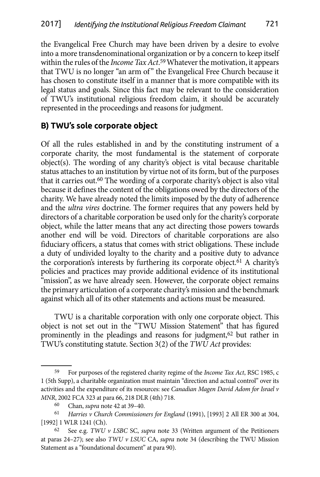<span id="page-14-0"></span>the Evangelical Free Church may have been driven by a desire to evolve into a more transdenominational organization or by a concern to keep itself within the rules of the *Income Tax Act*. 59 Whatever the motivation, it appears that TWU is no longer "an arm of" the Evangelical Free Church because it has chosen to constitute itself in a manner that is more compatible with its legal status and goals. Since this fact may be relevant to the consideration of TWU's institutional religious freedom claim, it should be accurately represented in the proceedings and reasons for judgment.

## **B) TWU's sole corporate object**

Of all the rules established in and by the constituting instrument of a corporate charity, the most fundamental is the statement of corporate object(s). The wording of any charity's object is vital because charitable status attaches to an institution by virtue not of its form, but of the purposes that it carries out.60 The wording of a corporate charity's object is also vital because it defines the content of the obligations owed by the directors of the charity. We have already noted the limits imposed by the duty of adherence and the *ultra vires* doctrine. The former requires that any powers held by directors of a charitable corporation be used only for the charity's corporate object, while the latter means that any act directing those powers towards another end will be void. Directors of charitable corporations are also fiduciary officers, a status that comes with strict obligations. These include a duty of undivided loyalty to the charity and a positive duty to advance the corporation's interests by furthering its corporate object.61 A charity's policies and practices may provide additional evidence of its institutional "mission", as we have already seen. However, the corporate object remains the primary articulation of a corporate charity's mission and the benchmark against which all of its other statements and actions must be measured.

TWU is a charitable corporation with only one corporate object. This object is not set out in the "TWU Mission Statement" that has figured prominently in the pleadings and reasons for judgment,<sup>62</sup> but rather in TWU's constituting statute. Section 3(2) of the *TWU Act* provides:

<sup>59</sup> For purposes of the registered charity regime of the *Income Tax Act*, RSC 1985, c 1 (5th Supp), a charitable organization must maintain "direction and actual control" over its activities and the expenditure of its resources: see *Canadian Magen David Adom for Israel v MNR*, 2002 FCA 323 at para 66, 218 DLR (4th) 718.

<sup>60</sup> Chan, *supra* note 42 at 39–40.

<sup>61</sup> *Harries v Church Commissioners for England* (1991), [1993] 2 All ER 300 at 304, [1992] 1 WLR 1241 (Ch).

<sup>62</sup> See e.g. *TWU v LSBC* SC, *supra* note 33 (Written argument of the Petitioners at paras 24–27); see also *TWU v LSUC* CA, *supra* note 34 (describing the TWU Mission Statement as a "foundational document" at para 90).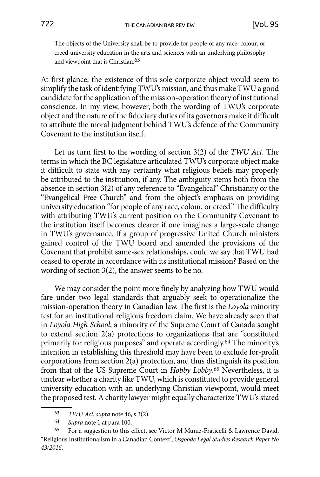The objects of the University shall be to provide for people of any race, colour, or creed university education in the arts and sciences with an underlying philosophy and viewpoint that is Christian.63

At first glance, the existence of this sole corporate object would seem to simplify the task of identifying TWU's mission, and thus make TWU a good candidate for the application of the mission-operation theory of institutional conscience. In my view, however, both the wording of TWU's corporate object and the nature of the fiduciary duties of its governors make it difficult to attribute the moral judgment behind TWU's defence of the Community Covenant to the institution itself.

Let us turn first to the wording of section 3(2) of the *TWU Act*. The terms in which the BC legislature articulated TWU's corporate object make it difficult to state with any certainty what religious beliefs may properly be attributed to the institution, if any. The ambiguity stems both from the absence in section 3(2) of any reference to "Evangelical" Christianity or the "Evangelical Free Church" and from the object's emphasis on providing university education "for people of any race, colour, or creed." The difficulty with attributing TWU's current position on the Community Covenant to the institution itself becomes clearer if one imagines a large-scale change in TWU's governance. If a group of progressive United Church ministers gained control of the TWU board and amended the provisions of the Covenant that prohibit same-sex relationships, could we say that TWU had ceased to operate in accordance with its institutional mission? Based on the wording of section 3(2), the answer seems to be no.

We may consider the point more finely by analyzing how TWU would fare under two legal standards that arguably seek to operationalize the mission-operation theory in Canadian law. The first is the *Loyola* minority test for an institutional religious freedom claim. We have already seen that in *Loyola High School*, a minority of the Supreme Court of Canada sought to extend section 2(a) protections to organizations that are "constituted primarily for religious purposes" and operate accordingly.64 The minority's intention in establishing this threshold may have been to exclude for-profit corporations from section 2(a) protection, and thus distinguish its position from that of the US Supreme Court in *Hobby Lobby*. 65 Nevertheless, it is unclear whether a charity like TWU, which is constituted to provide general university education with an underlying Christian viewpoint, would meet the proposed test. A charity lawyer might equally characterize TWU's stated

<sup>63</sup> *TWU Act*, *supra* note 46, s 3(2).

<sup>64</sup> *Supra* note 1 at para 100.

<sup>65</sup> For a suggestion to this effect, see Victor M Muñiz-Fraticelli & Lawrence David, "Religious Institutionalism in a Canadian Context", *Osgoode Legal Studies Research Paper No 43/2016*.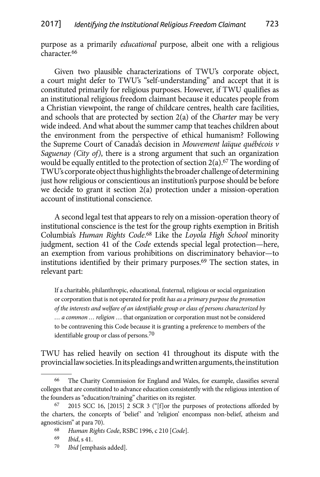purpose as a primarily *educational* purpose, albeit one with a religious character.66

Given two plausible characterizations of TWU's corporate object, a court might defer to TWU's "self-understanding" and accept that it is constituted primarily for religious purposes. However, if TWU qualifies as an institutional religious freedom claimant because it educates people from a Christian viewpoint, the range of childcare centres, health care facilities, and schools that are protected by section 2(a) of the *Charter* may be very wide indeed. And what about the summer camp that teaches children about the environment from the perspective of ethical humanism? Following the Supreme Court of Canada's decision in *Mouvement laïque québécois v Saguenay (City of)*, there is a strong argument that such an organization would be equally entitled to the protection of section  $2(a)$ .<sup>67</sup> The wording of TWU's corporate object thus highlights the broader challenge of determining just how religious or conscientious an institution's purpose should be before we decide to grant it section 2(a) protection under a mission-operation account of institutional conscience.

A second legal test that appears to rely on a mission-operation theory of institutional conscience is the test for the group rights exemption in British Columbia's *Human Rights Code*. 68 Like the *Loyola High School* minority judgment, section 41 of the *Code* extends special legal protection—here, an exemption from various prohibitions on discriminatory behavior—to institutions identified by their primary purposes.<sup>69</sup> The section states, in relevant part:

If a charitable, philanthropic, educational, fraternal, religious or social organization or corporation that is not operated for profit *has as a primary purpose the promotion of the interests and welfare of an identifiable group or class of persons characterized by … a common … religion* … that organization or corporation must not be considered to be contravening this Code because it is granting a preference to members of the identifiable group or class of persons.<sup>70</sup>

TWU has relied heavily on section 41 throughout its dispute with the provincial law societies. In its pleadings and written arguments, the institution

70 *Ibid* [emphasis added].

<sup>66</sup> The Charity Commission for England and Wales, for example, classifies several colleges that are constituted to advance education consistently with the religious intention of the founders as "education/training" charities on its register.

<sup>67</sup> 2015 SCC 16, [2015] 2 SCR 3 ("[f]or the purposes of protections afforded by the charters, the concepts of 'belief' and 'religion' encompass non-belief, atheism and agnosticism" at para 70).

<sup>68</sup> *Human Rights Code*, RSBC 1996, c 210 [*Code*].

<sup>69</sup> *Ibid*, s 41.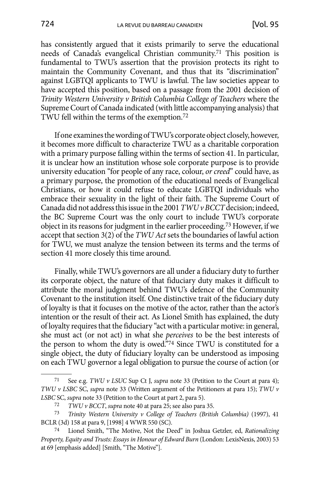has consistently argued that it exists primarily to serve the educational needs of Canada's evangelical Christian community.71 This position is fundamental to TWU's assertion that the provision protects its right to maintain the Community Covenant, and thus that its "discrimination" against LGBTQI applicants to TWU is lawful. The law societies appear to have accepted this position, based on a passage from the 2001 decision of *Trinity Western University v British Columbia College of Teachers* where the Supreme Court of Canada indicated (with little accompanying analysis) that TWU fell within the terms of the exemption.72

If one examines the wording of TWU's corporate object closely, however, it becomes more difficult to characterize TWU as a charitable corporation with a primary purpose falling within the terms of section 41. In particular, it is unclear how an institution whose sole corporate purpose is to provide university education "for people of any race, colour, *or creed*" could have, as a primary purpose, the promotion of the educational needs of Evangelical Christians, or how it could refuse to educate LGBTQI individuals who embrace their sexuality in the light of their faith. The Supreme Court of Canada did not address this issue in the 2001 *TWU v BCCT* decision; indeed, the BC Supreme Court was the only court to include TWU's corporate object in its reasons for judgment in the earlier proceeding.73 However, if we accept that section 3(2) of the *TWU Act* sets the boundaries of lawful action for TWU, we must analyze the tension between its terms and the terms of section 41 more closely this time around.

Finally, while TWU's governors are all under a fiduciary duty to further its corporate object, the nature of that fiduciary duty makes it difficult to attribute the moral judgment behind TWU's defence of the Community Covenant to the institution itself. One distinctive trait of the fiduciary duty of loyalty is that it focuses on the motive of the actor, rather than the actor's intention or the result of their act. As Lionel Smith has explained, the duty of loyalty requires that the fiduciary "act with a particular motive: in general, she must act (or not act) in what she *perceives* to be the best interests of the person to whom the duty is owed.<sup>574</sup> Since TWU is constituted for a single object, the duty of fiduciary loyalty can be understood as imposing on each TWU governor a legal obligation to pursue the course of action (or

<sup>71</sup> See e.g. *TWU v LSUC* Sup Ct J, *supra* note 33 (Petition to the Court at para 4); *TWU v LSBC* SC, *supra* note 33 (Written argument of the Petitioners at para 15); *TWU v LSBC* SC, *supra* note 33 (Petition to the Court at part 2, para 5).

<sup>72</sup> *TWU v BCCT*, *supra* note 40 at para 25; see also para 35.

<sup>73</sup> *Trinity Western University v College of Teachers (British Columbia)* (1997), 41 BCLR (3d) 158 at para 9, [1998] 4 WWR 550 (SC).

Lionel Smith, "The Motive, Not the Deed" in Joshua Getzler, ed, *Rationalizing Property, Equity and Trusts: Essays in Honour of Edward Burn* (London: LexisNexis, 2003) 53 at 69 [emphasis added] [Smith, "The Motive"].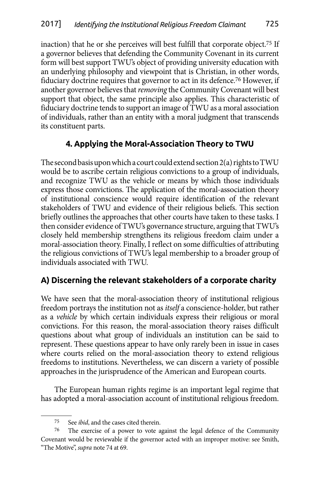<span id="page-18-0"></span>inaction) that he or she perceives will best fulfill that corporate object.75 If a governor believes that defending the Community Covenant in its current form will best support TWU's object of providing university education with an underlying philosophy and viewpoint that is Christian, in other words, fiduciary doctrine requires that governor to act in its defence.76 However, if another governor believes that *removing* the Community Covenant will best support that object, the same principle also applies. This characteristic of fiduciary doctrine tends to support an image of TWU as a moral association of individuals, rather than an entity with a moral judgment that transcends its constituent parts.

# **4. Applying the Moral-Association Theory to TWU**

The second basis upon which a court could extend section 2(a) rights to TWU would be to ascribe certain religious convictions to a group of individuals, and recognize TWU as the vehicle or means by which those individuals express those convictions. The application of the moral-association theory of institutional conscience would require identification of the relevant stakeholders of TWU and evidence of their religious beliefs. This section briefly outlines the approaches that other courts have taken to these tasks. I then consider evidence of TWU's governance structure, arguing that TWU's closely held membership strengthens its religious freedom claim under a moral-association theory. Finally, I reflect on some difficulties of attributing the religious convictions of TWU's legal membership to a broader group of individuals associated with TWU.

# **A) Discerning the relevant stakeholders of a corporate charity**

We have seen that the moral-association theory of institutional religious freedom portrays the institution not as *itself* a conscience-holder, but rather as a *vehicle* by which certain individuals express their religious or moral convictions. For this reason, the moral-association theory raises difficult questions about what group of individuals an institution can be said to represent. These questions appear to have only rarely been in issue in cases where courts relied on the moral-association theory to extend religious freedoms to institutions. Nevertheless, we can discern a variety of possible approaches in the jurisprudence of the American and European courts.

The European human rights regime is an important legal regime that has adopted a moral-association account of institutional religious freedom.

<sup>75</sup> See *ibid*, and the cases cited therein.

<sup>76</sup> The exercise of a power to vote against the legal defence of the Community Covenant would be reviewable if the governor acted with an improper motive: see Smith, "The Motive", *supra* note 74 at 69.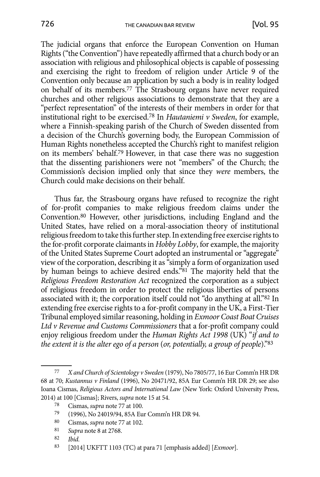The judicial organs that enforce the European Convention on Human Rights ("the Convention") have repeatedly affirmed that a church body or an association with religious and philosophical objects is capable of possessing and exercising the right to freedom of religion under Article 9 of the Convention only because an application by such a body is in reality lodged on behalf of its members.77 The Strasbourg organs have never required churches and other religious associations to demonstrate that they are a "perfect representation" of the interests of their members in order for that institutional right to be exercised.78 In *Hautaniemi v Sweden*, for example, where a Finnish-speaking parish of the Church of Sweden dissented from a decision of the Church's governing body, the European Commission of Human Rights nonetheless accepted the Church's right to manifest religion on its members' behalf.79 However, in that case there was no suggestion that the dissenting parishioners were not "members" of the Church; the Commission's decision implied only that since they *were* members, the Church could make decisions on their behalf.

Thus far, the Strasbourg organs have refused to recognize the right of for-profit companies to make religious freedom claims under the Convention.80 However, other jurisdictions, including England and the United States, have relied on a moral-association theory of institutional religious freedom to take this further step. In extending free exercise rights to the for-profit corporate claimants in *Hobby Lobby*, for example, the majority of the United States Supreme Court adopted an instrumental or "aggregate" view of the corporation, describing it as "simply a form of organization used by human beings to achieve desired ends."81 The majority held that the *Religious Freedom Restoration Act* recognized the corporation as a subject of religious freedom in order to protect the religious liberties of persons associated with it; the corporation itself could not "do anything at all."82 In extending free exercise rights to a for-profit company in the UK, a First-Tier Tribunal employed similar reasoning, holding in *Exmoor Coast Boat Cruises Ltd v Revenue and Customs Commissioners* that a for-profit company could enjoy religious freedom under the *Human Rights Act 1998* (UK) "*if and to the extent it is the alter ego of a person* (*or, potentially, a group of people*)."83

81 *Supra* note 8 at 2768.

<sup>77</sup> *X and Church of Scientology v Sweden* (1979), No 7805/77, 16 Eur Comm'n HR DR 68 at 70; *Kustannus v Finland* (1996), No 20471/92, 85A Eur Comm'n HR DR 29; see also Ioana Cismas, *Religious Actors and International Law* (New York: Oxford University Press, 2014) at 100 [Cismas]; Rivers, *supra* note 15 at 54.

<sup>78</sup> Cismas, *supra* note 77 at 100.

<sup>79</sup> (1996), No 24019/94, 85A Eur Comm'n HR DR 94.

<sup>80</sup> Cismas, *supra* note 77 at 102.

<sup>82</sup> *Ibid.*

<sup>83</sup> [2014] UKFTT 1103 (TC) at para 71 [emphasis added] [*Exmoor*].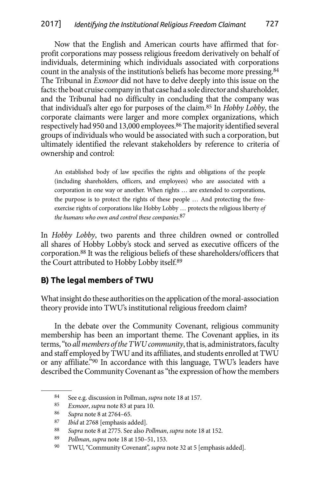<span id="page-20-0"></span>Now that the English and American courts have affirmed that forprofit corporations may possess religious freedom derivatively on behalf of individuals, determining which individuals associated with corporations count in the analysis of the institution's beliefs has become more pressing.84 The Tribunal in *Exmoor* did not have to delve deeply into this issue on the facts: the boat cruise company in that case had a sole director and shareholder, and the Tribunal had no difficulty in concluding that the company was that individual's alter ego for purposes of the claim.85 In *Hobby Lobby*, the corporate claimants were larger and more complex organizations, which respectively had 950 and 13,000 employees.86 The majority identified several groups of individuals who would be associated with such a corporation, but ultimately identified the relevant stakeholders by reference to criteria of ownership and control:

An established body of law specifies the rights and obligations of the people (including shareholders, officers, and employees) who are associated with a corporation in one way or another. When rights … are extended to corporations, the purpose is to protect the rights of these people … And protecting the freeexercise rights of corporations like Hobby Lobby … protects the religious liberty *of the humans who own and control these companies*. 87

In *Hobby Lobby*, two parents and three children owned or controlled all shares of Hobby Lobby's stock and served as executive officers of the corporation.88 It was the religious beliefs of these shareholders/officers that the Court attributed to Hobby Lobby itself.89

# **B) The legal members of TWU**

What insight do these authorities on the application of the moral-association theory provide into TWU's institutional religious freedom claim?

In the debate over the Community Covenant, religious community membership has been an important theme. The Covenant applies, in its terms, "to *all members of the TWU community*, that is, administrators, faculty and staff employed by TWU and its affiliates, and students enrolled at TWU or any affiliate."90 In accordance with this language, TWU's leaders have described the Community Covenant as "the expression of how the members

<sup>84</sup> See e.g. discussion in Pollman, *supra* note 18 at 157.

<sup>85</sup> *Exmoor*, *supra* note 83 at para 10.

<sup>86</sup> *Supra* note 8 at 2764–65.

<sup>87</sup> *Ibid* at 2768 [emphasis added].

<sup>88</sup> *Supra* note 8 at 2775. See also *Pollman*, *supra* note 18 at 152.

<sup>89</sup> *Pollman*, *supra* note 18 at 150–51, 153.

<sup>90</sup> TWU, "Community Covenant", *supra* note 32 at 5 [emphasis added].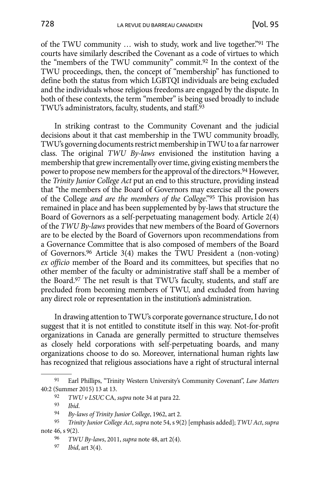of the TWU community … wish to study, work and live together."91 The courts have similarly described the Covenant as a code of virtues to which the "members of the TWU community" commit.92 In the context of the TWU proceedings, then, the concept of "membership" has functioned to define both the status from which LGBTQI individuals are being excluded and the individuals whose religious freedoms are engaged by the dispute. In both of these contexts, the term "member" is being used broadly to include TWU's administrators, faculty, students, and staff.<sup>93</sup>

In striking contrast to the Community Covenant and the judicial decisions about it that cast membership in the TWU community broadly, TWU's governing documents restrict membership in TWU to a far narrower class. The original *TWU By-laws* envisioned the institution having a membership that grew incrementally over time, giving existing members the power to propose new members for the approval of the directors.<sup>94</sup> However, the *Trinity Junior College Act* put an end to this structure, providing instead that "the members of the Board of Governors may exercise all the powers of the College *and are the members of the College*."95 This provision has remained in place and has been supplemented by by-laws that structure the Board of Governors as a self-perpetuating management body. Article 2(4) of the *TWU By-laws* provides that new members of the Board of Governors are to be elected by the Board of Governors upon recommendations from a Governance Committee that is also composed of members of the Board of Governors.96 Article 3(4) makes the TWU President a (non-voting) *ex officio* member of the Board and its committees, but specifies that no other member of the faculty or administrative staff shall be a member of the Board.97 The net result is that TWU's faculty, students, and staff are precluded from becoming members of TWU, and excluded from having any direct role or representation in the institution's administration.

In drawing attention to TWU's corporate governance structure, I do not suggest that it is not entitled to constitute itself in this way. Not-for-profit organizations in Canada are generally permitted to structure themselves as closely held corporations with self-perpetuating boards, and many organizations choose to do so. Moreover, international human rights law has recognized that religious associations have a right of structural internal

<sup>91</sup> Earl Phillips, "Trinity Western University's Community Covenant", *Law Matters* 40:2 (Summer 2015) 13 at 13.

<sup>92</sup> *TWU v LSUC* CA, *supra* note 34 at para 22.

<sup>93</sup> *Ibid*.

<sup>94</sup> *By-laws of Trinity Junior College*, 1962, art 2.

<sup>95</sup> *Trinity Junior College Act*, *supra* note 54, s 9(2) [emphasis added]; *TWU Act*, *supra*  note 46, s 9(2).

<sup>96</sup> *TWU By-laws*, 2011, *supra* note 48, art 2(4).

<sup>97</sup> *Ibid*, art 3(4).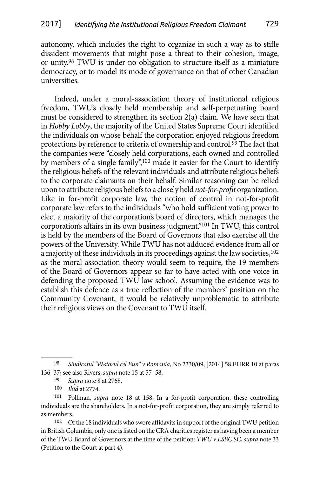autonomy, which includes the right to organize in such a way as to stifle dissident movements that might pose a threat to their cohesion, image, or unity.98 TWU is under no obligation to structure itself as a miniature democracy, or to model its mode of governance on that of other Canadian universities.

Indeed, under a moral-association theory of institutional religious freedom, TWU's closely held membership and self-perpetuating board must be considered to strengthen its section 2(a) claim. We have seen that in *Hobby Lobby*, the majority of the United States Supreme Court identified the individuals on whose behalf the corporation enjoyed religious freedom protections by reference to criteria of ownership and control.<sup>99</sup> The fact that the companies were "closely held corporations, each owned and controlled by members of a single family",100 made it easier for the Court to identify the religious beliefs of the relevant individuals and attribute religious beliefs to the corporate claimants on their behalf. Similar reasoning can be relied upon to attribute religious beliefs to a closely held *not-for-profit* organization. Like in for-profit corporate law, the notion of control in not-for-profit corporate law refers to the individuals "who hold sufficient voting power to elect a majority of the corporation's board of directors, which manages the corporation's affairs in its own business judgment."101 In TWU, this control is held by the members of the Board of Governors that also exercise all the powers of the University. While TWU has not adduced evidence from all or a majority of these individuals in its proceedings against the law societies,<sup>102</sup> as the moral-association theory would seem to require, the 19 members of the Board of Governors appear so far to have acted with one voice in defending the proposed TWU law school. Assuming the evidence was to establish this defence as a true reflection of the members' position on the Community Covenant, it would be relatively unproblematic to attribute their religious views on the Covenant to TWU itself.

<sup>98</sup> *Sindicatul "P*ă*storul cel Bun" v Romania*, No 2330/09, [2014] 58 EHRR 10 at paras 136–37; see also Rivers, *supra* note 15 at 57–58.

<sup>99</sup> *Supra* note 8 at 2768.

<sup>100</sup> *Ibid* at 2774.

<sup>101</sup> Pollman, *supra* note 18 at 158. In a for-profit corporation, these controlling individuals are the shareholders. In a not-for-profit corporation, they are simply referred to as members.

<sup>102</sup> Of the 18 individuals who swore affidavits in support of the original TWU petition in British Columbia, only one is listed on the CRA charities register as having been a member of the TWU Board of Governors at the time of the petition: *TWU v LSBC* SC, *supra* note 33 (Petition to the Court at part 4).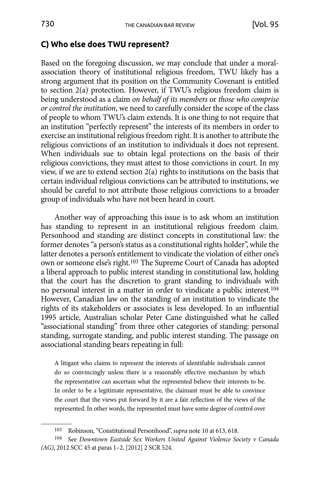## <span id="page-23-0"></span>**C) Who else does TWU represent?**

Based on the foregoing discussion, we may conclude that under a moralassociation theory of institutional religious freedom, TWU likely has a strong argument that its position on the Community Covenant is entitled to section 2(a) protection. However, if TWU's religious freedom claim is being understood as a claim *on behalf of its members* or *those who comprise or control the institution*, we need to carefully consider the scope of the class of people to whom TWU's claim extends. It is one thing to not require that an institution "perfectly represent" the interests of its members in order to exercise an institutional religious freedom right. It is another to attribute the religious convictions of an institution to individuals it does not represent. When individuals sue to obtain legal protections on the basis of their religious convictions, they must attest to those convictions in court. In my view, if we are to extend section 2(a) rights to institutions on the basis that certain individual religious convictions can be attributed to institutions, we should be careful to not attribute those religious convictions to a broader group of individuals who have not been heard in court.

Another way of approaching this issue is to ask whom an institution has standing to represent in an institutional religious freedom claim. Personhood and standing are distinct concepts in constitutional law: the former denotes "a person's status as a constitutional rights holder", while the latter denotes a person's entitlement to vindicate the violation of either one's own or someone else's right.103 The Supreme Court of Canada has adopted a liberal approach to public interest standing in constitutional law, holding that the court has the discretion to grant standing to individuals with no personal interest in a matter in order to vindicate a public interest.104 However, Canadian law on the standing of an institution to vindicate the rights of its stakeholders or associates is less developed. In an influential 1995 article, Australian scholar Peter Cane distinguished what he called "associational standing" from three other categories of standing: personal standing, surrogate standing, and public interest standing. The passage on associational standing bears repeating in full:

A litigant who claims to represent the interests of identifiable individuals cannot do so convincingly unless there is a reasonably effective mechanism by which the representative can ascertain what the represented believe their interests to be. In order to be a legitimate representative, the claimant must be able to convince the court that the views put forward by it are a fair reflection of the views of the represented. In other words, the represented must have some degree of control over

<sup>103</sup> Robinson, "Constitutional Personhood", *supra* note 10 at 613, 618.

<sup>104</sup> See *Downtown Eastside Sex Workers United Against Violence Society v Canada (AG)*, 2012 SCC 45 at paras 1–2, [2012] 2 SCR 524.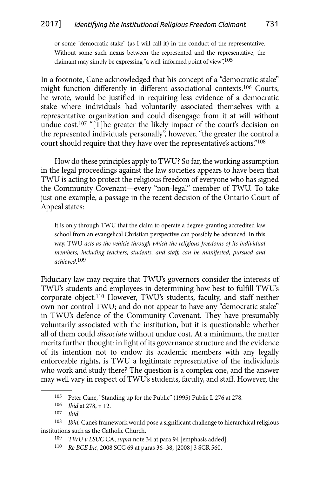or some "democratic stake" (as I will call it) in the conduct of the representative. Without some such nexus between the represented and the representative, the claimant may simply be expressing "a well-informed point of view".<sup>105</sup>

In a footnote, Cane acknowledged that his concept of a "democratic stake" might function differently in different associational contexts.106 Courts, he wrote, would be justified in requiring less evidence of a democratic stake where individuals had voluntarily associated themselves with a representative organization and could disengage from it at will without undue cost.<sup>107</sup> "[T]he greater the likely impact of the court's decision on the represented individuals personally", however, "the greater the control a court should require that they have over the representative's actions."108

How do these principles apply to TWU? So far, the working assumption in the legal proceedings against the law societies appears to have been that TWU is acting to protect the religious freedom of everyone who has signed the Community Covenant—every "non-legal" member of TWU. To take just one example, a passage in the recent decision of the Ontario Court of Appeal states:

It is only through TWU that the claim to operate a degree-granting accredited law school from an evangelical Christian perspective can possibly be advanced. In this way, TWU *acts as the vehicle through which the religious freedoms of its individual members, including teachers, students, and staff, can be manifested, pursued and achieved*. 109

Fiduciary law may require that TWU's governors consider the interests of TWU's students and employees in determining how best to fulfill TWU's corporate object.110 However, TWU's students, faculty, and staff neither own nor control TWU; and do not appear to have any "democratic stake" in TWU's defence of the Community Covenant. They have presumably voluntarily associated with the institution, but it is questionable whether all of them could *dissociate* without undue cost. At a minimum, the matter merits further thought: in light of its governance structure and the evidence of its intention not to endow its academic members with any legally enforceable rights, is TWU a legitimate representative of the individuals who work and study there? The question is a complex one, and the answer may well vary in respect of TWU's students, faculty, and staff. However, the

<sup>105</sup> Peter Cane, "Standing up for the Public" (1995) Public L 276 at 278.

<sup>106</sup> *Ibid* at 278, n 12.

<sup>107</sup> *Ibid.*

<sup>108</sup> *Ibid.* Cane's framework would pose a significant challenge to hierarchical religious institutions such as the Catholic Church.

<sup>109</sup> *TWU v LSUC* CA, *supra* note 34 at para 94 [emphasis added].

<sup>110</sup> *Re BCE Inc*, 2008 SCC 69 at paras 36–38, [2008] 3 SCR 560.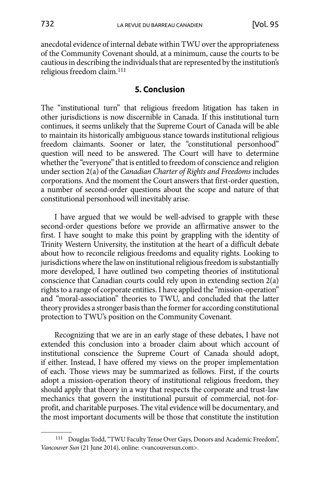<span id="page-25-0"></span>anecdotal evidence of internal debate within TWU over the appropriateness of the Community Covenant should, at a minimum, cause the courts to be cautious in describing the individuals that are represented by the institution's religious freedom claim.111

#### **5. Conclusion**

The "institutional turn" that religious freedom litigation has taken in other jurisdictions is now discernible in Canada. If this institutional turn continues, it seems unlikely that the Supreme Court of Canada will be able to maintain its historically ambiguous stance towards institutional religious freedom claimants. Sooner or later, the "constitutional personhood" question will need to be answered. The Court will have to determine whether the "everyone" that is entitled to freedom of conscience and religion under section 2(a) of the *Canadian Charter of Rights and Freedoms* includes corporations. And the moment the Court answers that first-order question, a number of second-order questions about the scope and nature of that constitutional personhood will inevitably arise.

I have argued that we would be well-advised to grapple with these second-order questions before we provide an affirmative answer to the first. I have sought to make this point by grappling with the identity of Trinity Western University, the institution at the heart of a difficult debate about how to reconcile religious freedoms and equality rights. Looking to jurisdictions where the law on institutional religious freedom is substantially more developed, I have outlined two competing theories of institutional conscience that Canadian courts could rely upon in extending section 2(a) rights to a range of corporate entities. I have applied the "mission-operation" and "moral-association" theories to TWU, and concluded that the latter theory provides a stronger basis than the former for according constitutional protection to TWU's position on the Community Covenant.

Recognizing that we are in an early stage of these debates, I have not extended this conclusion into a broader claim about which account of institutional conscience the Supreme Court of Canada should adopt, if either. Instead, I have offered my views on the proper implementation of each. Those views may be summarized as follows. First, if the courts adopt a mission-operation theory of institutional religious freedom, they should apply that theory in a way that respects the corporate and trust-law mechanics that govern the institutional pursuit of commercial, not-forprofit, and charitable purposes. The vital evidence will be documentary, and the most important documents will be those that constitute the institution

 <sup>111</sup> Douglas Todd, "TWU Faculty Tense Over Gays, Donors and Academic Freedom", *Vancouver Sun* (21 June 2014), online: <vancouversun.com>.